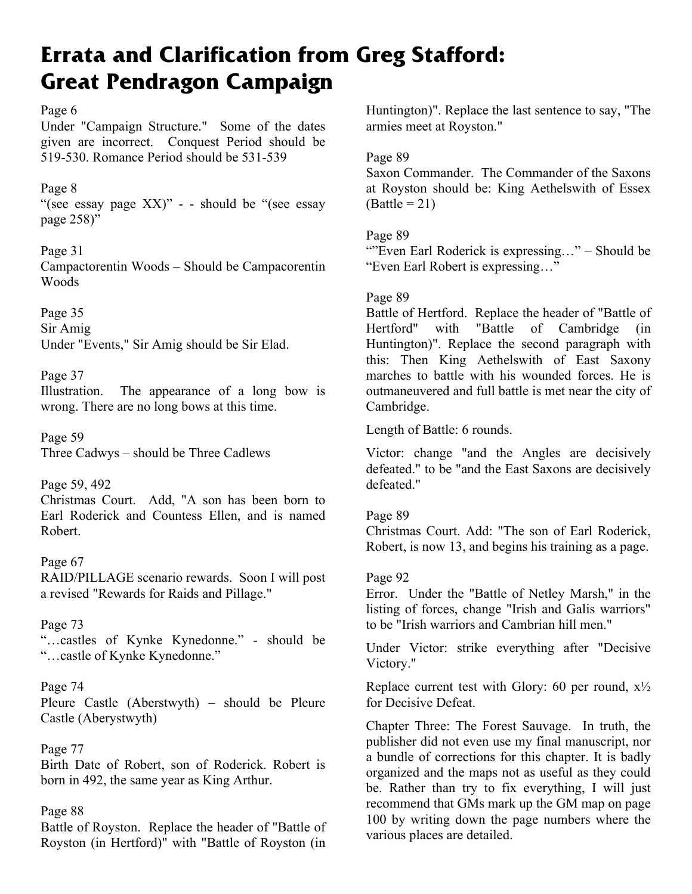# **Errata and Clarification from Greg Stafford: Great Pendragon Campaign**

# Page 6

Under "Campaign Structure." Some of the dates given are incorrect. Conquest Period should be 519-530. Romance Period should be 531-539

# Page 8

"(see essay page XX)" - - should be "(see essay page 258)"

# Page 31

Campactorentin Woods – Should be Campacorentin Woods

Page 35 Sir Amig Under "Events," Sir Amig should be Sir Elad.

# Page 37

Illustration. The appearance of a long bow is wrong. There are no long bows at this time.

Page 59 Three Cadwys – should be Three Cadlews

# Page 59, 492

Christmas Court. Add, "A son has been born to Earl Roderick and Countess Ellen, and is named Robert.

## Page 67 RAID/PILLAGE scenario rewards. Soon I will post a revised "Rewards for Raids and Pillage."

# Page 73 "…castles of Kynke Kynedonne." - should be "…castle of Kynke Kynedonne."

# Page 74

Pleure Castle (Aberstwyth) – should be Pleure Castle (Aberystwyth)

# Page 77

Birth Date of Robert, son of Roderick. Robert is born in 492, the same year as King Arthur.

# Page 88

Battle of Royston. Replace the header of "Battle of Royston (in Hertford)" with "Battle of Royston (in Huntington)". Replace the last sentence to say, "The armies meet at Royston."

# Page 89

Saxon Commander. The Commander of the Saxons at Royston should be: King Aethelswith of Essex  $(Battle = 21)$ 

# Page 89

""Even Earl Roderick is expressing..." – Should be "Even Earl Robert is expressing…"

# Page 89

Battle of Hertford. Replace the header of "Battle of Hertford" with "Battle of Cambridge (in Huntington)". Replace the second paragraph with this: Then King Aethelswith of East Saxony marches to battle with his wounded forces. He is outmaneuvered and full battle is met near the city of Cambridge.

Length of Battle: 6 rounds.

Victor: change "and the Angles are decisively defeated." to be "and the East Saxons are decisively defeated."

# Page 89

Christmas Court. Add: "The son of Earl Roderick, Robert, is now 13, and begins his training as a page.

# Page 92

Error. Under the "Battle of Netley Marsh," in the listing of forces, change "Irish and Galis warriors" to be "Irish warriors and Cambrian hill men."

Under Victor: strike everything after "Decisive Victory."

Replace current test with Glory: 60 per round,  $x\frac{1}{2}$ for Decisive Defeat.

Chapter Three: The Forest Sauvage. In truth, the publisher did not even use my final manuscript, nor a bundle of corrections for this chapter. It is badly organized and the maps not as useful as they could be. Rather than try to fix everything, I will just recommend that GMs mark up the GM map on page 100 by writing down the page numbers where the various places are detailed.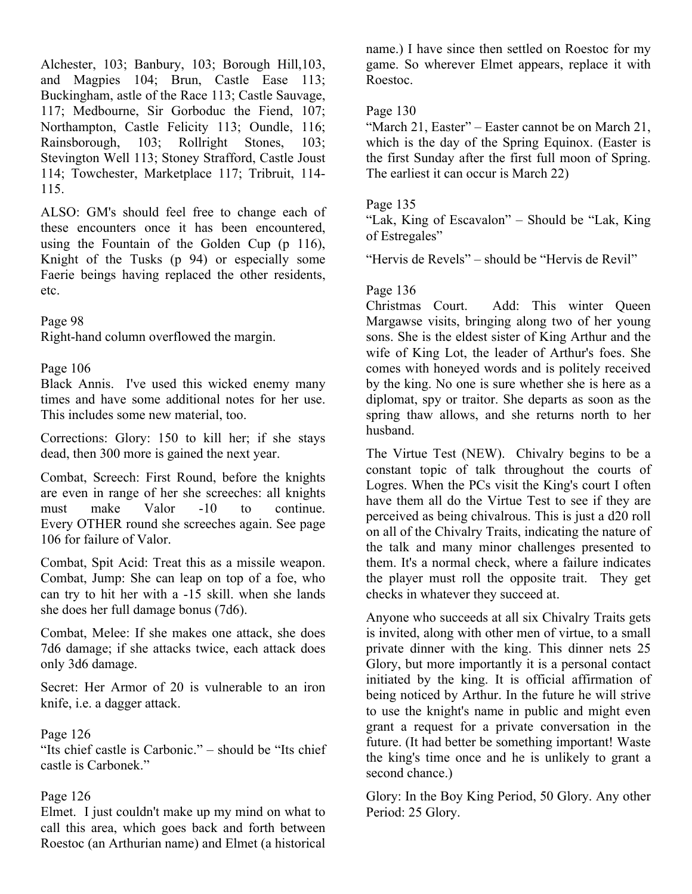Alchester, 103; Banbury, 103; Borough Hill,103, and Magpies 104; Brun, Castle Ease 113; Buckingham, astle of the Race 113; Castle Sauvage, 117; Medbourne, Sir Gorboduc the Fiend, 107; Northampton, Castle Felicity 113; Oundle, 116; Rainsborough, 103; Rollright Stones, 103; Stevington Well 113; Stoney Strafford, Castle Joust 114; Towchester, Marketplace 117; Tribruit, 114- 115.

ALSO: GM's should feel free to change each of these encounters once it has been encountered, using the Fountain of the Golden Cup (p 116), Knight of the Tusks (p 94) or especially some Faerie beings having replaced the other residents, etc.

Page 98

Right-hand column overflowed the margin.

#### Page 106

Black Annis. I've used this wicked enemy many times and have some additional notes for her use. This includes some new material, too.

Corrections: Glory: 150 to kill her; if she stays dead, then 300 more is gained the next year.

Combat, Screech: First Round, before the knights are even in range of her she screeches: all knights must make Valor -10 to continue. Every OTHER round she screeches again. See page 106 for failure of Valor.

Combat, Spit Acid: Treat this as a missile weapon. Combat, Jump: She can leap on top of a foe, who can try to hit her with a -15 skill. when she lands she does her full damage bonus (7d6).

Combat, Melee: If she makes one attack, she does 7d6 damage; if she attacks twice, each attack does only 3d6 damage.

Secret: Her Armor of 20 is vulnerable to an iron knife, i.e. a dagger attack.

#### Page 126

"Its chief castle is Carbonic." – should be "Its chief castle is Carbonek."

#### Page 126

Elmet. I just couldn't make up my mind on what to call this area, which goes back and forth between Roestoc (an Arthurian name) and Elmet (a historical

name.) I have since then settled on Roestoc for my game. So wherever Elmet appears, replace it with Roestoc.

## Page 130

"March 21, Easter" – Easter cannot be on March 21, which is the day of the Spring Equinox. (Easter is the first Sunday after the first full moon of Spring. The earliest it can occur is March 22)

#### Page 135

"Lak, King of Escavalon" – Should be "Lak, King of Estregales"

"Hervis de Revels" – should be "Hervis de Revil"

#### Page 136

Christmas Court. Add: This winter Queen Margawse visits, bringing along two of her young sons. She is the eldest sister of King Arthur and the wife of King Lot, the leader of Arthur's foes. She comes with honeyed words and is politely received by the king. No one is sure whether she is here as a diplomat, spy or traitor. She departs as soon as the spring thaw allows, and she returns north to her husband.

The Virtue Test (NEW). Chivalry begins to be a constant topic of talk throughout the courts of Logres. When the PCs visit the King's court I often have them all do the Virtue Test to see if they are perceived as being chivalrous. This is just a d20 roll on all of the Chivalry Traits, indicating the nature of the talk and many minor challenges presented to them. It's a normal check, where a failure indicates the player must roll the opposite trait. They get checks in whatever they succeed at.

Anyone who succeeds at all six Chivalry Traits gets is invited, along with other men of virtue, to a small private dinner with the king. This dinner nets 25 Glory, but more importantly it is a personal contact initiated by the king. It is official affirmation of being noticed by Arthur. In the future he will strive to use the knight's name in public and might even grant a request for a private conversation in the future. (It had better be something important! Waste the king's time once and he is unlikely to grant a second chance.)

Glory: In the Boy King Period, 50 Glory. Any other Period: 25 Glory.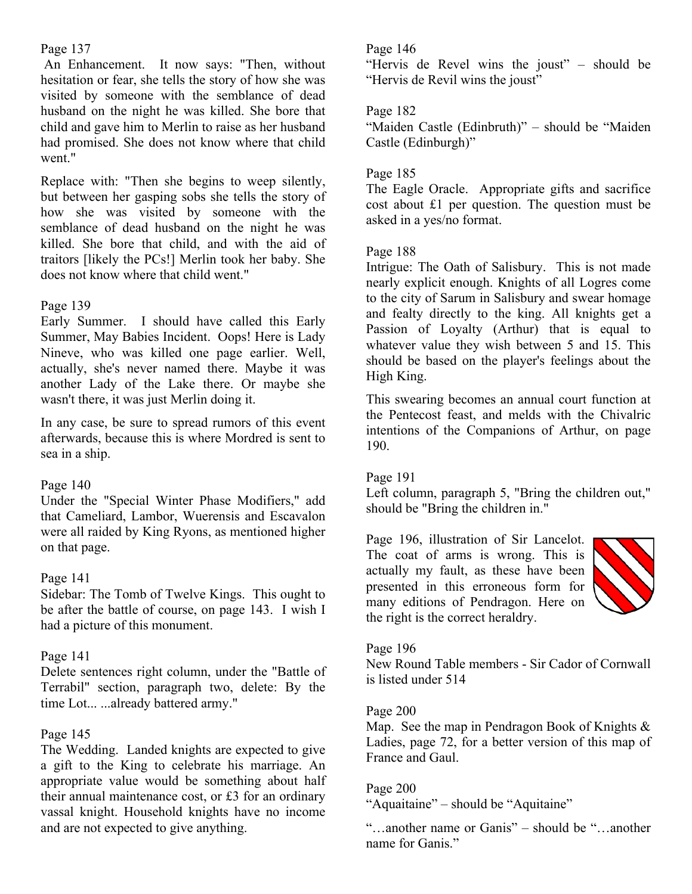## Page 137

 An Enhancement. It now says: "Then, without hesitation or fear, she tells the story of how she was visited by someone with the semblance of dead husband on the night he was killed. She bore that child and gave him to Merlin to raise as her husband had promised. She does not know where that child went."

Replace with: "Then she begins to weep silently, but between her gasping sobs she tells the story of how she was visited by someone with the semblance of dead husband on the night he was killed. She bore that child, and with the aid of traitors [likely the PCs!] Merlin took her baby. She does not know where that child went."

## Page 139

Early Summer. I should have called this Early Summer, May Babies Incident. Oops! Here is Lady Nineve, who was killed one page earlier. Well, actually, she's never named there. Maybe it was another Lady of the Lake there. Or maybe she wasn't there, it was just Merlin doing it.

In any case, be sure to spread rumors of this event afterwards, because this is where Mordred is sent to sea in a ship.

## Page 140

Under the "Special Winter Phase Modifiers," add that Cameliard, Lambor, Wuerensis and Escavalon were all raided by King Ryons, as mentioned higher on that page.

## Page 141

Sidebar: The Tomb of Twelve Kings. This ought to be after the battle of course, on page 143. I wish I had a picture of this monument.

## Page 141

Delete sentences right column, under the "Battle of Terrabil" section, paragraph two, delete: By the time Lot... ...already battered army."

## Page 145

The Wedding. Landed knights are expected to give a gift to the King to celebrate his marriage. An appropriate value would be something about half their annual maintenance cost, or £3 for an ordinary vassal knight. Household knights have no income and are not expected to give anything.

## Page 146

"Hervis de Revel wins the joust" – should be "Hervis de Revil wins the joust"

## Page 182

"Maiden Castle (Edinbruth)" – should be "Maiden Castle (Edinburgh)"

## Page 185

The Eagle Oracle. Appropriate gifts and sacrifice cost about £1 per question. The question must be asked in a yes/no format.

## Page 188

Intrigue: The Oath of Salisbury. This is not made nearly explicit enough. Knights of all Logres come to the city of Sarum in Salisbury and swear homage and fealty directly to the king. All knights get a Passion of Loyalty (Arthur) that is equal to whatever value they wish between 5 and 15. This should be based on the player's feelings about the High King.

This swearing becomes an annual court function at the Pentecost feast, and melds with the Chivalric intentions of the Companions of Arthur, on page 190.

## Page 191

Left column, paragraph 5, "Bring the children out," should be "Bring the children in."

Page 196, illustration of Sir Lancelot. The coat of arms is wrong. This is actually my fault, as these have been presented in this erroneous form for many editions of Pendragon. Here on the right is the correct heraldry.



## Page 196

New Round Table members - Sir Cador of Cornwall is listed under 514

## Page 200

Map. See the map in Pendragon Book of Knights & Ladies, page 72, for a better version of this map of France and Gaul.

## Page 200

"Aquaitaine" – should be "Aquitaine"

"…another name or Ganis" – should be "…another name for Ganis."